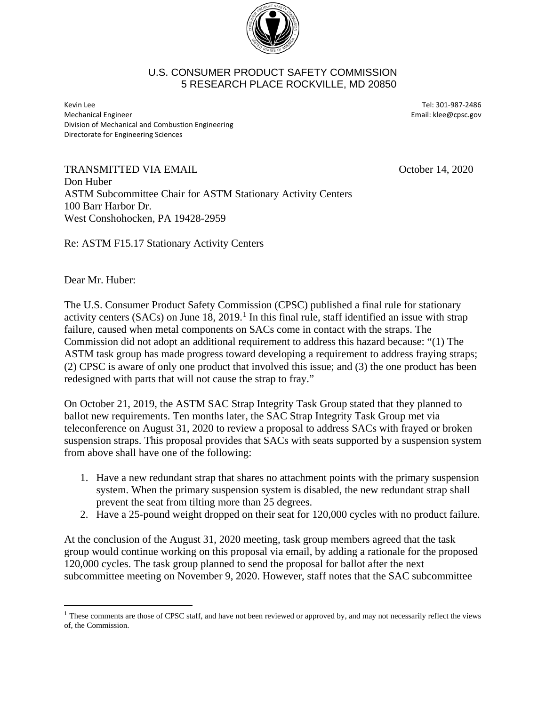

## U.S. CONSUMER PRODUCT SAFETY COMMISSION 5 RESEARCH PLACE ROCKVILLE, MD 20850

Kevin Lee Tel: 301-987-2486 Mechanical Engineer **Email:** klee@cpsc.gov Division of Mechanical and Combustion Engineering Directorate for Engineering Sciences

Re: ASTM F15.17 Stationary Activity Centers

TRANSMITTED VIA EMAIL **SEXUAL SEXUAL SEXUAL SEXUAL SEXUAL SEXUAL SEXUAL SEXUAL SEXUAL SEXUAL SEXUAL SEXUAL SEXU** Don Huber ASTM Subcommittee Chair for ASTM Stationary Activity Centers 100 Barr Harbor Dr. West Conshohocken, PA 19428-2959

Dear Mr. Huber:

 $\overline{a}$ 

The U.S. Consumer Product Safety Commission (CPSC) published a final rule for stationary activity centers (SACs) on June  $18, 2019$  $18, 2019$ .<sup>1</sup> In this final rule, staff identified an issue with strap failure, caused when metal components on SACs come in contact with the straps. The Commission did not adopt an additional requirement to address this hazard because: "(1) The ASTM task group has made progress toward developing a requirement to address fraying straps; (2) CPSC is aware of only one product that involved this issue; and (3) the one product has been redesigned with parts that will not cause the strap to fray."

On October 21, 2019, the ASTM SAC Strap Integrity Task Group stated that they planned to ballot new requirements. Ten months later, the SAC Strap Integrity Task Group met via teleconference on August 31, 2020 to review a proposal to address SACs with frayed or broken suspension straps. This proposal provides that SACs with seats supported by a suspension system from above shall have one of the following:

- 1. Have a new redundant strap that shares no attachment points with the primary suspension system. When the primary suspension system is disabled, the new redundant strap shall prevent the seat from tilting more than 25 degrees.
- 2. Have a 25-pound weight dropped on their seat for 120,000 cycles with no product failure.

At the conclusion of the August 31, 2020 meeting, task group members agreed that the task group would continue working on this proposal via email, by adding a rationale for the proposed 120,000 cycles. The task group planned to send the proposal for ballot after the next subcommittee meeting on November 9, 2020. However, staff notes that the SAC subcommittee

<span id="page-0-0"></span><sup>&</sup>lt;sup>1</sup> These comments are those of CPSC staff, and have not been reviewed or approved by, and may not necessarily reflect the views of, the Commission.